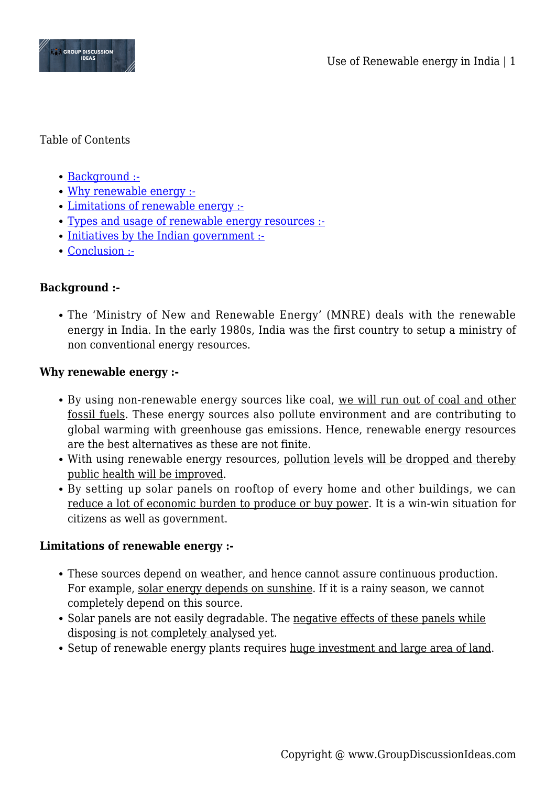

### Table of Contents

- [Background :-](#page--1-0)
- [Why renewable energy :-](#page--1-0)
- [Limitations of renewable energy :-](#page--1-0)
- [Types and usage of renewable energy resources :-](#page--1-0)
- [Initiatives by the Indian government :-](#page--1-0)
- [Conclusion :-](#page--1-0)

# **Background :-**

The 'Ministry of New and Renewable Energy' (MNRE) deals with the renewable energy in India. In the early 1980s, India was the first country to setup a ministry of non conventional energy resources.

### **Why renewable energy :-**

- By using non-renewable energy sources like coal, we will run out of coal and other fossil fuels. These energy sources also pollute environment and are contributing to global warming with greenhouse gas emissions. Hence, renewable energy resources are the best alternatives as these are not finite.
- With using renewable energy resources, pollution levels will be dropped and thereby public health will be improved.
- By setting up solar panels on rooftop of every home and other buildings, we can reduce a lot of economic burden to produce or buy power. It is a win-win situation for citizens as well as government.

## **Limitations of renewable energy :-**

- These sources depend on weather, and hence cannot assure continuous production. For example, solar energy depends on sunshine. If it is a rainy season, we cannot completely depend on this source.
- Solar panels are not easily degradable. The negative effects of these panels while disposing is not completely analysed yet.
- Setup of renewable energy plants requires huge investment and large area of land.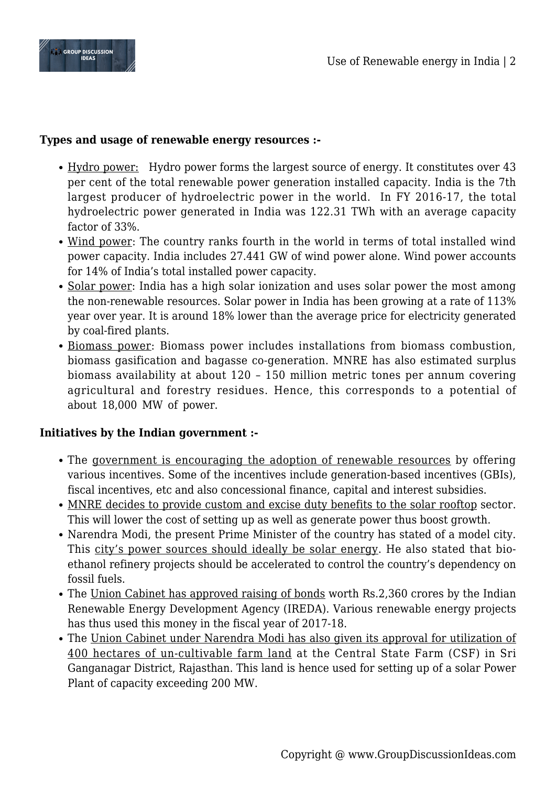

### **Types and usage of renewable energy resources :-**

- Hydro power: Hydro power forms the largest source of energy. It constitutes over 43 per cent of the total renewable power generation installed capacity. India is the 7th largest producer of hydroelectric power in the world. In FY 2016-17, the total hydroelectric power generated in India was 122.31 TWh with an average capacity factor of 33%.
- Wind power: The country ranks fourth in the world in terms of total installed wind power capacity. India includes 27.441 GW of wind power alone. Wind power accounts for 14% of India's total installed power capacity.
- Solar power: India has a high solar ionization and uses solar power the most among the non-renewable resources. Solar power in India has been growing at a rate of 113% year over year. It is around 18% lower than the average price for electricity generated by coal-fired plants.
- Biomass power: Biomass power includes installations from biomass combustion, biomass gasification and bagasse co-generation. MNRE has also estimated surplus biomass availability at about 120 – 150 million metric tones per annum covering agricultural and forestry residues. Hence, this corresponds to a potential of about 18,000 MW of power.

### **Initiatives by the Indian government :-**

- The government is encouraging the adoption of renewable resources by offering various incentives. Some of the incentives include generation-based incentives (GBIs), fiscal incentives, etc and also concessional finance, capital and interest subsidies.
- MNRE decides to provide custom and excise duty benefits to the solar rooftop sector. This will lower the cost of setting up as well as generate power thus boost growth.
- Narendra Modi, the present Prime Minister of the country has stated of a model city. This city's power sources should ideally be solar energy. He also stated that bioethanol refinery projects should be accelerated to control the country's dependency on fossil fuels.
- The Union Cabinet has approved raising of bonds worth Rs.2,360 crores by the Indian Renewable Energy Development Agency (IREDA). Various renewable energy projects has thus used this money in the fiscal year of 2017-18.
- The Union Cabinet under Narendra Modi has also given its approval for utilization of 400 hectares of un-cultivable farm land at the Central State Farm (CSF) in Sri Ganganagar District, Rajasthan. This land is hence used for setting up of a solar Power Plant of capacity exceeding 200 MW.